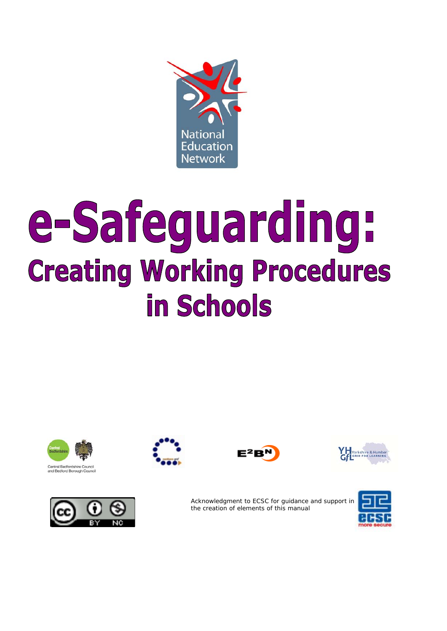

# e-Safeguarding: **Creating Working Procedures** in Schools











Acknowledgment to ECSC for guidance and support in the creation of elements of this manual

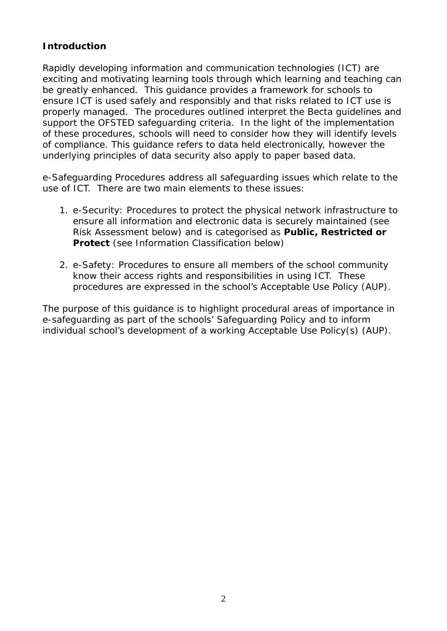## **Introduction**

Rapidly developing information and communication technologies (ICT) are exciting and motivating learning tools through which learning and teaching can be greatly enhanced. This guidance provides a framework for schools to ensure ICT is used safely and responsibly and that risks related to ICT use is properly managed. The procedures outlined interpret the Becta guidelines and support the OFSTED safeguarding criteria. In the light of the implementation of these procedures, schools will need to consider how they will identify levels of compliance. This guidance refers to data held electronically, however the underlying principles of data security also apply to paper based data.

e-Safeguarding Procedures address all safeguarding issues which relate to the use of ICT. There are two main elements to these issues:

- 1. e-Security: Procedures to protect the physical network infrastructure to ensure all information and electronic data is securely maintained (see Risk Assessment below) and is categorised as **Public, Restricted or Protect** (see Information Classification below)
- 2. e-Safety: Procedures to ensure all members of the school community know their access rights and responsibilities in using ICT. These procedures are expressed in the school's Acceptable Use Policy (AUP).

The purpose of this guidance is to highlight procedural areas of importance in e-safeguarding as part of the schools' Safeguarding Policy and to inform individual school's development of a working Acceptable Use Policy(s) (AUP).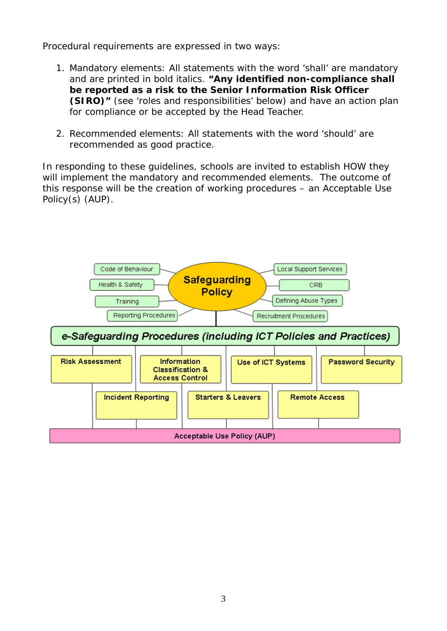Procedural requirements are expressed in two ways:

- 1. Mandatory elements: All statements with the word 'shall' are mandatory and are printed in bold italics. **"***Any identified non-compliance shall be reported as a risk to the Senior Information Risk Officer (SIRO)*" (see 'roles and responsibilities' below) and have an action plan for compliance or be accepted by the Head Teacher.
- 2. Recommended elements: All statements with the word 'should' are recommended as good practice.

In responding to these guidelines, schools are invited to establish HOW they will implement the mandatory and recommended elements. The outcome of this response will be the creation of working procedures – an Acceptable Use Policy(s) (AUP).

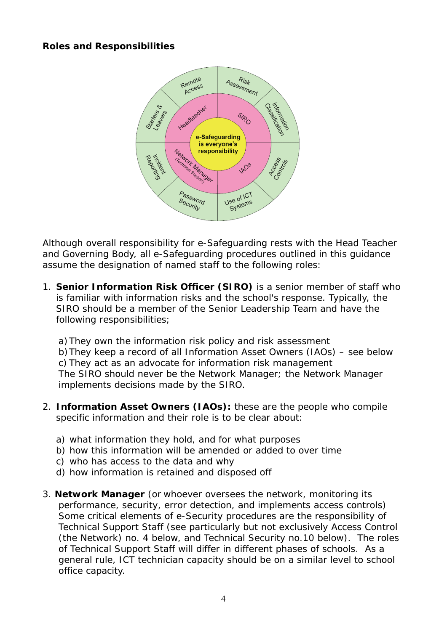## **Roles and Responsibilities**



Although overall responsibility for e-Safeguarding rests with the Head Teacher and Governing Body, all e-Safeguarding procedures outlined in this guidance assume the designation of named staff to the following roles:

1. *Senior Information Risk Officer (SIRO)* is a senior member of staff who is familiar with information risks and the school's response. Typically, the SIRO should be a member of the Senior Leadership Team and have the following responsibilities;

a)They own the information risk policy and risk assessment b)They keep a record of all Information Asset Owners (IAOs) – see below c) They act as an advocate for information risk management The SIRO should never be the Network Manager; the Network Manager implements decisions made by the SIRO.

- 2. *Information Asset Owners (IAOs):* these are the people who compile specific information and their role is to be clear about:
	- a) what information they hold, and for what purposes
	- b) how this information will be amended or added to over time
	- c) who has access to the data and why
	- d) how information is retained and disposed off
- 3. *Network Manager (or whoever oversees the network, monitoring its performance, security, error detection, and implements access controls)* Some critical elements of e-Security procedures are the responsibility of Technical Support Staff (see particularly but not exclusively Access Control (the Network) no. 4 below, and Technical Security no.10 below). The roles of Technical Support Staff will differ in different phases of schools. As a general rule, ICT technician capacity should be on a similar level to school office capacity.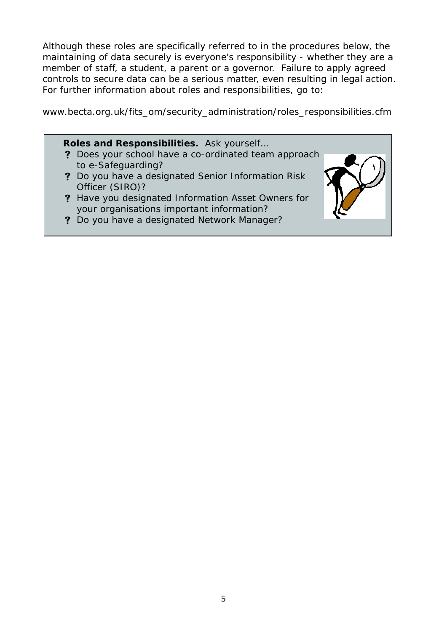Although these roles are specifically referred to in the procedures below, the maintaining of data securely is everyone's responsibility - whether they are a member of staff, a student, a parent or a governor. Failure to apply agreed controls to secure data can be a serious matter, even resulting in legal action. For further information about roles and responsibilities, go to:

www.becta.org.uk/fits\_om/security\_administration/roles\_responsibilities.cfm

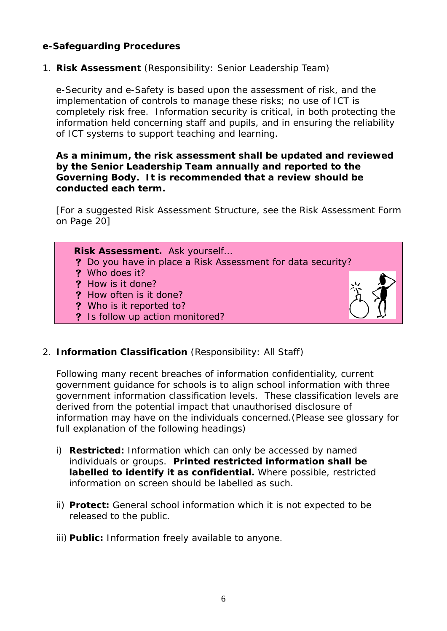## **e-Safeguarding Procedures**

1. **Risk Assessment** (Responsibility: Senior Leadership Team)

e-Security and e-Safety is based upon the assessment of risk, and the implementation of controls to manage these risks; no use of ICT is completely risk free. Information security is critical, in both protecting the information held concerning staff and pupils, and in ensuring the reliability of ICT systems to support teaching and learning.

#### *As a minimum, the risk assessment shall be updated and reviewed by the Senior Leadership Team annually and reported to the Governing Body. It is recommended that a review should be conducted each term.*

[For a suggested Risk Assessment Structure, see the Risk Assessment Form on Page 20]



## 2. **Information Classification** (Responsibility: All Staff)

Following many recent breaches of information confidentiality, current government guidance for schools is to align school information with three government information classification levels. These classification levels are derived from the potential impact that unauthorised disclosure of information may have on the individuals concerned.(Please see glossary for full explanation of the following headings)

- i) **Restricted:** Information which can only be accessed by named individuals or groups. *Printed restricted information shall be labelled to identify it as confidential.* Where possible, restricted information on screen should be labelled as such.
- ii) **Protect:** General school information which it is not expected to be released to the public.
- iii) **Public:** Information freely available to anyone.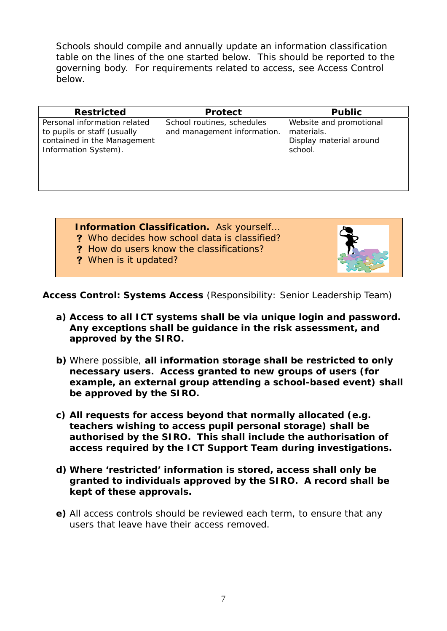Schools should compile and annually update an information classification table on the lines of the one started below. This should be reported to the governing body. For requirements related to access, see Access Control below.

| <b>Restricted</b>                                                                                                  | <b>Protect</b>                                            | <b>Public</b>                                                               |
|--------------------------------------------------------------------------------------------------------------------|-----------------------------------------------------------|-----------------------------------------------------------------------------|
| Personal information related<br>to pupils or staff (usually<br>contained in the Management<br>Information System). | School routines, schedules<br>and management information. | Website and promotional<br>materials.<br>Display material around<br>school. |

## *Information Classification. Ask yourself…*

- V *Who decides how school data is classified?*
- V *How do users know the classifications?*
- ? When is it updated?



**Access Control: Systems Access** (Responsibility: Senior Leadership Team)

- *a) Access to all ICT systems shall be via unique login and password. Any exceptions shall be guidance in the risk assessment, and approved by the SIRO.*
- *b)* Where possible, *all information storage shall be restricted to only necessary users. Access granted to new groups of users (for example, an external group attending a school-based event) shall be approved by the SIRO.*
- *c) All requests for access beyond that normally allocated (e.g. teachers wishing to access pupil personal storage) shall be authorised by the SIRO. This shall include the authorisation of access required by the ICT Support Team during investigations.*
- *d) Where 'restricted' information is stored, access shall only be granted to individuals approved by the SIRO. A record shall be kept of these approvals.*
- *e)* All access controls should be reviewed each term, to ensure that any users that leave have their access removed.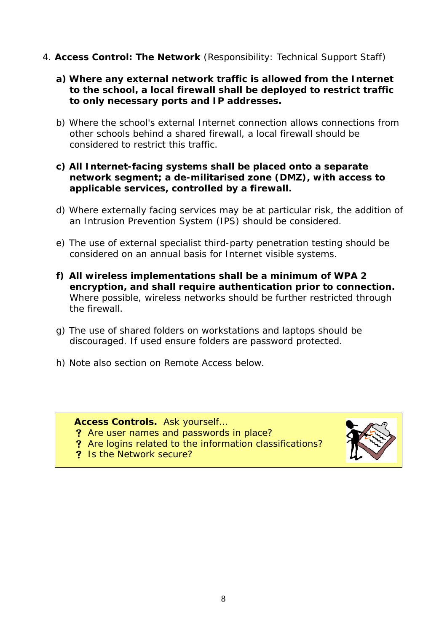4. **Access Control: The Network** (Responsibility: Technical Support Staff)

## *a) Where any external network traffic is allowed from the Internet to the school, a local firewall shall be deployed to restrict traffic to only necessary ports and IP addresses.*

b) Where the school's external Internet connection allows connections from other schools behind a shared firewall, a local firewall should be considered to restrict this traffic.

## *c) All Internet-facing systems shall be placed onto a separate network segment; a de-militarised zone (DMZ), with access to applicable services, controlled by a firewall.*

- d) Where externally facing services may be at particular risk, the addition of an Intrusion Prevention System (IPS) should be considered.
- e) The use of external specialist third-party penetration testing should be considered on an annual basis for Internet visible systems.
- *f) All wireless implementations shall be a minimum of WPA 2 encryption, and shall require authentication prior to connection.*  Where possible, wireless networks should be further restricted through the firewall.
- g) The use of shared folders on workstations and laptops should be discouraged. If used ensure folders are password protected.
- h) Note also section on Remote Access below.

## *Access Controls. Ask yourself…*

- **?** Are user names and passwords in place?
- V *Are logins related to the information classifications?*
- 

V *Is the Network secure?*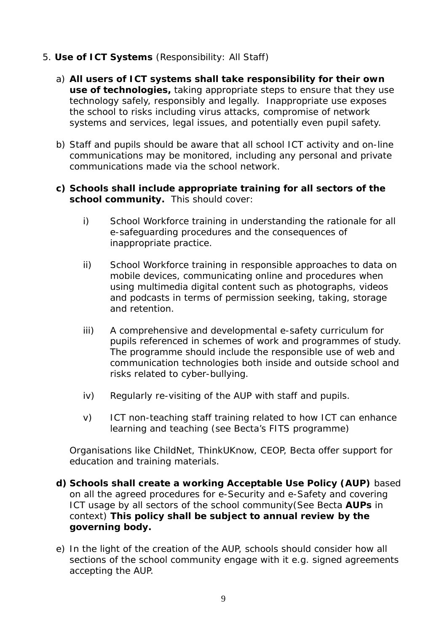## 5. **Use of ICT Systems** (Responsibility: All Staff)

- a) *All users of ICT systems shall take responsibility for their own use of technologies,* taking appropriate steps to ensure that they use technology safely, responsibly and legally. Inappropriate use exposes the school to risks including virus attacks, compromise of network systems and services, legal issues, and potentially even pupil safety.
- b) Staff and pupils should be aware that all school ICT activity and on-line communications may be monitored, including any personal and private communications made via the school network.

### *c) Schools shall include appropriate training for all sectors of the school community.* This should cover:

- i) School Workforce training in understanding the rationale for all e-safeguarding procedures and the consequences of inappropriate practice.
- ii) School Workforce training in responsible approaches to data on mobile devices, communicating online and procedures when using multimedia digital content such as photographs, videos and podcasts in terms of permission seeking, taking, storage and retention.
- iii) A comprehensive and developmental e-safety curriculum for pupils referenced in schemes of work and programmes of study. The programme should include the responsible use of web and communication technologies both inside and outside school and risks related to cyber-bullying.
- iv) Regularly re-visiting of the AUP with staff and pupils.
- v) ICT non-teaching staff training related to how ICT can enhance learning and teaching (see Becta's FITS programme)

Organisations like ChildNet, ThinkUKnow, CEOP, Becta offer support for education and training materials.

- *d) Schools shall create a working Acceptable Use Policy (AUP)* based on all the agreed procedures for e-Security and e-Safety and covering ICT usage by all sectors of the school community(See Becta **AUPs** in context) *This policy shall be subject to annual review by the governing body.*
- e) In the light of the creation of the AUP, schools should consider how all sections of the school community engage with it e.g. signed agreements accepting the AUP.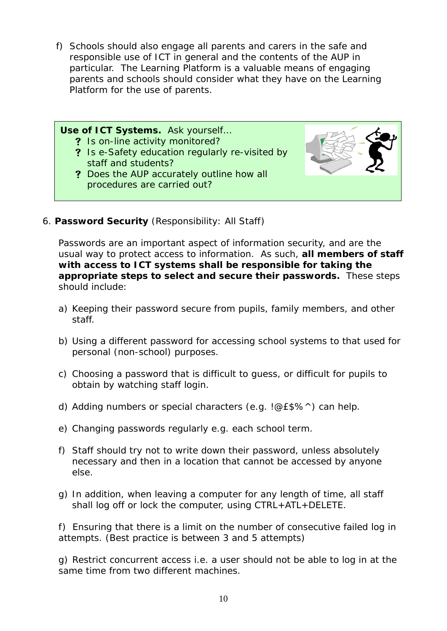f) Schools should also engage all parents and carers in the safe and responsible use of ICT in general and the contents of the AUP in particular. The Learning Platform is a valuable means of engaging parents and schools should consider what they have on the Learning Platform for the use of parents.



6. **Password Security** (Responsibility: All Staff)

Passwords are an important aspect of information security, and are the usual way to protect access to information. As such, *all members of staff with access to ICT systems shall be responsible for taking the appropriate steps to select and secure their passwords.* These steps should include:

- a) Keeping their password secure from pupils, family members, and other staff.
- b) Using a different password for accessing school systems to that used for personal (non-school) purposes.
- c) Choosing a password that is difficult to guess, or difficult for pupils to obtain by watching staff login.
- d) Adding numbers or special characters (e.g. !@£\$%^) can help.
- e) Changing passwords regularly e.g. each school term.
- f) Staff should try not to write down their password, unless absolutely necessary and then in a location that cannot be accessed by anyone else.
- g) In addition, when leaving a computer for any length of time, all staff shall log off or lock the computer, using CTRL+ATL+DELETE.

f) Ensuring that there is a limit on the number of consecutive failed log in attempts. (Best practice is between 3 and 5 attempts)

g) Restrict concurrent access i.e. a user should not be able to log in at the same time from two different machines.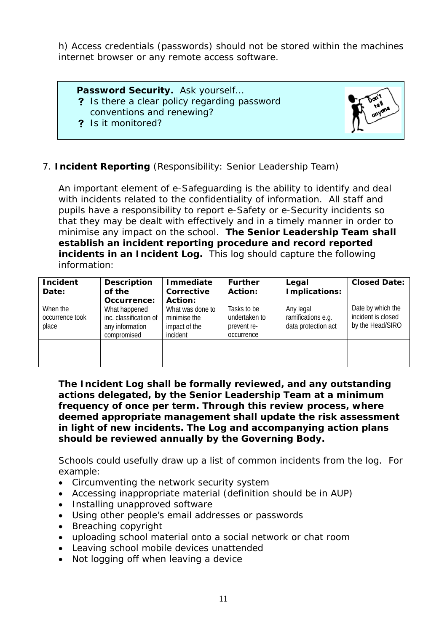h) Access credentials (passwords) should not be stored within the machines internet browser or any remote access software.

*Password Security. Ask yourself…*  V *Is there a clear policy regarding password conventions and renewing?* 

V *Is it monitored?*



## 7. **Incident Reporting** (Responsibility: Senior Leadership Team)

An important element of e-Safeguarding is the ability to identify and deal with incidents related to the confidentiality of information. All staff and pupils have a responsibility to report e-Safety or e-Security incidents so that they may be dealt with effectively and in a timely manner in order to minimise any impact on the school. *The Senior Leadership Team shall establish an incident reporting procedure and record reported incidents in an Incident Log.* This log should capture the following information:

| <b>Incident</b><br>Date:             | <b>Description</b><br>of the                                                             | <b>Immediate</b><br>Corrective                                           | <b>Further</b><br>Action:                                 | Legal<br>Implications:                                 | <b>Closed Date:</b>                                         |
|--------------------------------------|------------------------------------------------------------------------------------------|--------------------------------------------------------------------------|-----------------------------------------------------------|--------------------------------------------------------|-------------------------------------------------------------|
| When the<br>occurrence took<br>place | Occurrence:<br>What happened<br>inc. classification of<br>any information<br>compromised | Action:<br>What was done to<br>minimise the<br>impact of the<br>incident | Tasks to be<br>undertaken to<br>prevent re-<br>occurrence | Any legal<br>ramifications e.g.<br>data protection act | Date by which the<br>incident is closed<br>by the Head/SIRO |
|                                      |                                                                                          |                                                                          |                                                           |                                                        |                                                             |

*The Incident Log shall be formally reviewed, and any outstanding actions delegated, by the Senior Leadership Team at a minimum frequency of once per term. Through this review process, where deemed appropriate management shall update the risk assessment in light of new incidents. The Log and accompanying action plans should be reviewed annually by the Governing Body.* 

Schools could usefully draw up a list of common incidents from the log. For example:

- Circumventing the network security system
- Accessing inappropriate material (definition should be in AUP)
- Installing unapproved software
- Using other people's email addresses or passwords
- Breaching copyright
- uploading school material onto a social network or chat room
- Leaving school mobile devices unattended
- Not logging off when leaving a device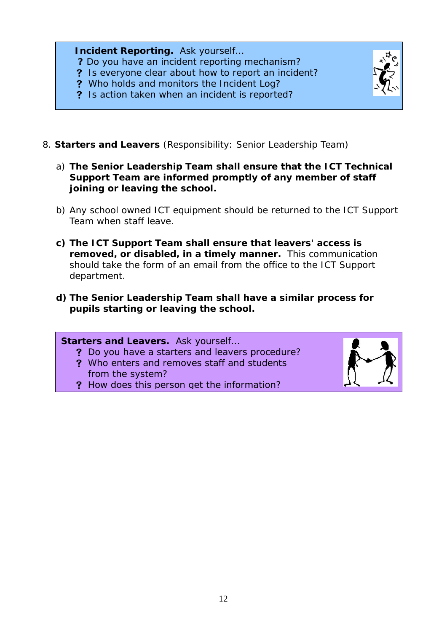*Incident Reporting. Ask yourself… ? Do you have an incident reporting mechanism?*  V *Is everyone clear about how to report an incident?*  V *Who holds and monitors the Incident Log?*  V *Is action taken when an incident is reported?*



- 8. **Starters and Leavers** (Responsibility: Senior Leadership Team)
	- a) *The Senior Leadership Team shall ensure that the ICT Technical Support Team are informed promptly of any member of staff joining or leaving the school.*
	- b) Any school owned ICT equipment should be returned to the ICT Support Team when staff leave.
	- *c) The ICT Support Team shall ensure that leavers' access is removed, or disabled, in a timely manner.* This communication should take the form of an email from the office to the ICT Support department.
	- *d) The Senior Leadership Team shall have a similar process for pupils starting or leaving the school.*

*Starters and Leavers. Ask yourself…*  V *Do you have a starters and leavers procedure?* 

- V *Who enters and removes staff and students from the system?*
- V *How does this person get the information?*

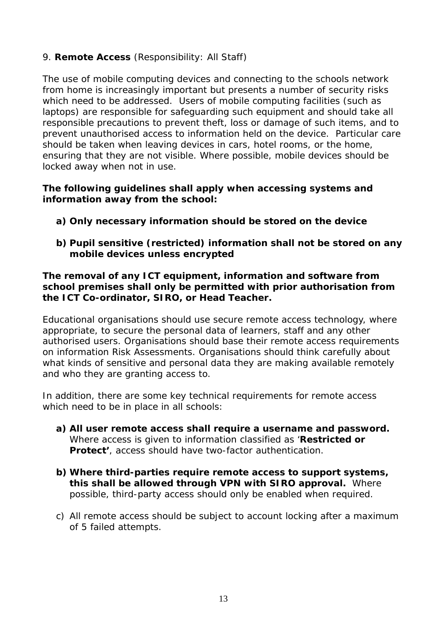## 9. **Remote Access** (Responsibility: All Staff)

The use of mobile computing devices and connecting to the schools network from home is increasingly important but presents a number of security risks which need to be addressed. Users of mobile computing facilities (such as laptops) are responsible for safeguarding such equipment and should take all responsible precautions to prevent theft, loss or damage of such items, and to prevent unauthorised access to information held on the device. Particular care should be taken when leaving devices in cars, hotel rooms, or the home, ensuring that they are not visible. Where possible, mobile devices should be locked away when not in use.

#### *The following guidelines shall apply when accessing systems and information away from the school:*

- *a) Only necessary information should be stored on the device*
- *b) Pupil sensitive (restricted) information shall not be stored on any mobile devices unless encrypted*

## *The removal of any ICT equipment, information and software from school premises shall only be permitted with prior authorisation from the ICT Co-ordinator, SIRO, or Head Teacher.*

Educational organisations should use secure remote access technology, where appropriate, to secure the personal data of learners, staff and any other authorised users. Organisations should base their remote access requirements on information Risk Assessments. Organisations should think carefully about what kinds of sensitive and personal data they are making available remotely and who they are granting access to.

In addition, there are some key technical requirements for remote access which need to be in place in all schools:

- *a) All user remote access shall require a username and password.*  Where access is given to information classified as '**Restricted or Protect'**, access should have two-factor authentication.
- *b) Where third-parties require remote access to support systems, this shall be allowed through VPN with SIRO approval.* Where possible, third-party access should only be enabled when required.
- c) All remote access should be subject to account locking after a maximum of 5 failed attempts.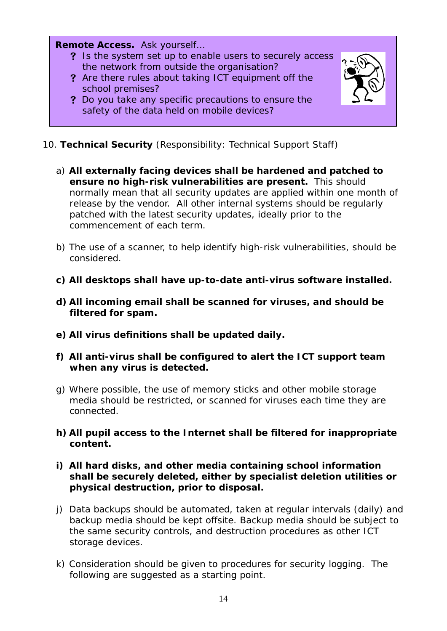*Remote Access. Ask yourself…* 

- V *Is the system set up to enable users to securely access the network from outside the organisation?*
- V *Are there rules about taking ICT equipment off the school premises?*
- V *Do you take any specific precautions to ensure the safety of the data held on mobile devices?*



- 10. **Technical Security** (Responsibility: Technical Support Staff)
	- a) *All externally facing devices shall be hardened and patched to ensure no high-risk vulnerabilities are present.* This should normally mean that all security updates are applied within one month of release by the vendor. All other internal systems should be regularly patched with the latest security updates, ideally prior to the commencement of each term.
	- b) The use of a scanner, to help identify high-risk vulnerabilities, should be considered.
	- *c) All desktops shall have up-to-date anti-virus software installed.*
	- *d) All incoming email shall be scanned for viruses, and should be filtered for spam.*
	- *e) All virus definitions shall be updated daily.*
	- *f) All anti-virus shall be configured to alert the ICT support team when any virus is detected.*
	- g) Where possible, the use of memory sticks and other mobile storage media should be restricted, or scanned for viruses each time they are connected.
	- *h) All pupil access to the Internet shall be filtered for inappropriate content.*

## *i) All hard disks, and other media containing school information shall be securely deleted, either by specialist deletion utilities or physical destruction, prior to disposal.*

- j) Data backups should be automated, taken at regular intervals (daily) and backup media should be kept offsite. Backup media should be subject to the same security controls, and destruction procedures as other ICT storage devices.
- k) Consideration should be given to procedures for security logging. The following are suggested as a starting point.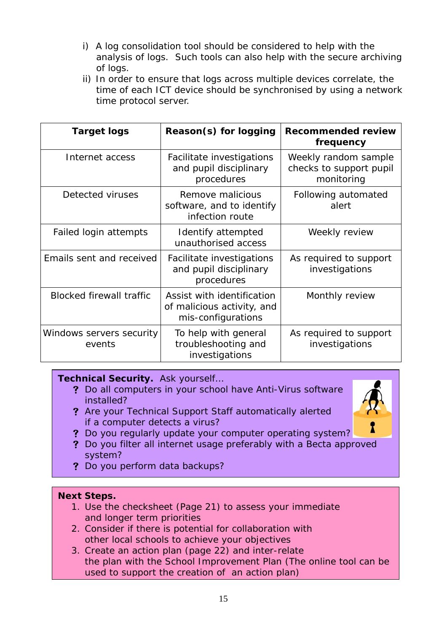- i) A log consolidation tool should be considered to help with the analysis of logs. Such tools can also help with the secure archiving of logs.
- ii) In order to ensure that logs across multiple devices correlate, the time of each ICT device should be synchronised by using a network time protocol server.

| Target logs                        | Reason(s) for logging                                                          | <b>Recommended review</b><br>frequency                        |
|------------------------------------|--------------------------------------------------------------------------------|---------------------------------------------------------------|
| Internet access                    | Facilitate investigations<br>and pupil disciplinary<br>procedures              | Weekly random sample<br>checks to support pupil<br>monitoring |
| Detected viruses                   | Remove malicious<br>software, and to identify<br>infection route               | Following automated<br>alert                                  |
| Failed login attempts              | Identify attempted<br>unauthorised access                                      | Weekly review                                                 |
| Emails sent and received           | Facilitate investigations<br>and pupil disciplinary<br>procedures              | As required to support<br>investigations                      |
| <b>Blocked firewall traffic</b>    | Assist with identification<br>of malicious activity, and<br>mis-configurations | Monthly review                                                |
| Windows servers security<br>events | To help with general<br>troubleshooting and<br>investigations                  | As required to support<br>investigations                      |

## *Technical Security. Ask yourself…*

- V *Do all computers in your school have Anti-Virus software installed?*
- V *Are your Technical Support Staff automatically alerted if a computer detects a virus?*



- V *Do you regularly update your computer operating system?*
- V *Do you filter all internet usage preferably with a Becta approved system?*
- V *Do you perform data backups?*

## *Next Steps.*

- *1. Use the checksheet (Page 21) to assess your immediate and longer term priorities*
- *2. Consider if there is potential for collaboration with other local schools to achieve your objectives*
- *3. Create an action plan (page 22) and inter-relate the plan with the School Improvement Plan (The online tool can be used to support the creation of an action plan)*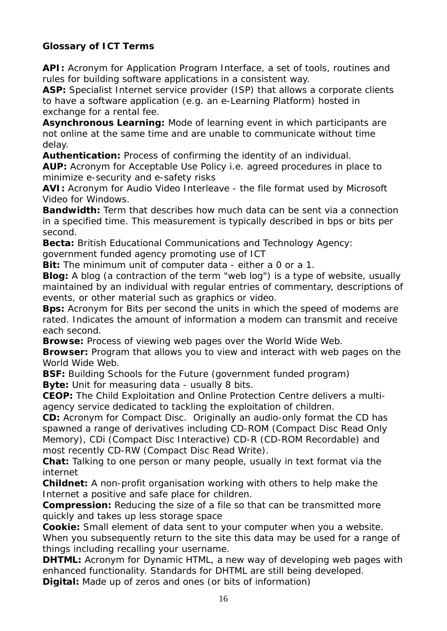## *Glossary of ICT Terms*

**API:** Acronym for Application Program Interface, a set of tools, routines and rules for building software applications in a consistent way.

**ASP:** Specialist Internet service provider (ISP) that allows a corporate clients to have a software application (e.g. an e-Learning Platform) hosted in exchange for a rental fee.

**Asynchronous Learning:** Mode of learning event in which participants are not online at the same time and are unable to communicate without time delay.

**Authentication:** Process of confirming the identity of an individual.

**AUP:** Acronym for Acceptable Use Policy i.e. agreed procedures in place to minimize e-security and e-safety risks

**AVI:** Acronym for Audio Video Interleave - the file format used by Microsoft Video for Windows.

**Bandwidth:** Term that describes how much data can be sent via a connection in a specified time. This measurement is typically described in bps or bits per second.

**Becta:** British Educational Communications and Technology Agency:

government funded agency promoting use of ICT

**Bit:** The minimum unit of computer data - either a 0 or a 1.

**Blog:** A blog (a contraction of the term "web log") is a type of website, usually maintained by an individual with regular entries of commentary, descriptions of events, or other material such as graphics or video.

**Bps:** Acronym for Bits per second the units in which the speed of modems are rated. Indicates the amount of information a modem can transmit and receive each second.

**Browse:** Process of viewing web pages over the World Wide Web.

**Browser:** Program that allows you to view and interact with web pages on the World Wide Web.

**BSF:** Building Schools for the Future (government funded program) **Byte:** Unit for measuring data - usually 8 bits.

**CEOP:** The Child Exploitation and Online Protection Centre delivers a multiagency service dedicated to tackling the exploitation of children.

**CD:** Acronym for Compact Disc. Originally an audio-only format the CD has spawned a range of derivatives including CD-ROM (Compact Disc Read Only Memory), CDi (Compact Disc Interactive) CD-R (CD-ROM Recordable) and most recently CD-RW (Compact Disc Read Write).

**Chat:** Talking to one person or many people, usually in text format via the internet

**Childnet:** A non-profit organisation working with others to help make the Internet a positive and safe place for children.

**Compression:** Reducing the size of a file so that can be transmitted more quickly and takes up less storage space

**Cookie:** Small element of data sent to your computer when you a website. When you subsequently return to the site this data may be used for a range of things including recalling your username.

**DHTML:** Acronym for Dynamic HTML, a new way of developing web pages with enhanced functionality. Standards for DHTML are still being developed.

**Digital:** Made up of zeros and ones (or bits of information)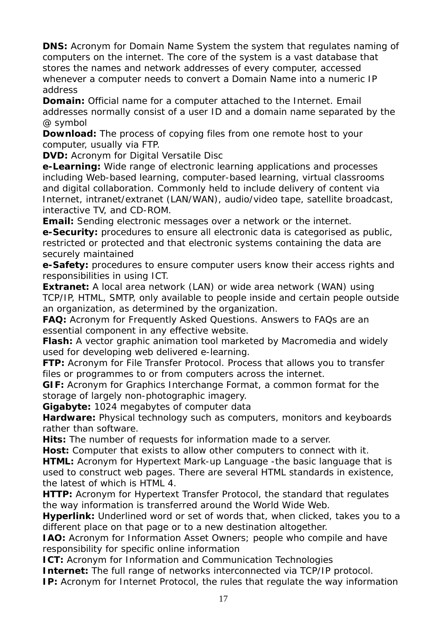**DNS:** Acronym for Domain Name System the system that regulates naming of computers on the internet. The core of the system is a vast database that stores the names and network addresses of every computer, accessed whenever a computer needs to convert a Domain Name into a numeric IP address

**Domain:** Official name for a computer attached to the Internet. Email addresses normally consist of a user ID and a domain name separated by the @ symbol

**Download:** The process of copying files from one remote host to your computer, usually via FTP.

**DVD:** Acronym for Digital Versatile Disc

**e-Learning:** Wide range of electronic learning applications and processes including Web-based learning, computer-based learning, virtual classrooms and digital collaboration. Commonly held to include delivery of content via Internet, intranet/extranet (LAN/WAN), audio/video tape, satellite broadcast, interactive TV, and CD-ROM.

**Email:** Sending electronic messages over a network or the internet.

**e-Security:** procedures to ensure all electronic data is categorised as public, restricted or protected and that electronic systems containing the data are securely maintained

**e-Safety:** procedures to ensure computer users know their access rights and responsibilities in using ICT.

**Extranet:** A local area network (LAN) or wide area network (WAN) using TCP/IP, HTML, SMTP, only available to people inside and certain people outside an organization, as determined by the organization.

**FAQ:** Acronym for Frequently Asked Questions. Answers to FAQs are an essential component in any effective website.

**Flash:** A vector graphic animation tool marketed by Macromedia and widely used for developing web delivered e-learning.

**FTP:** Acronym for File Transfer Protocol. Process that allows you to transfer files or programmes to or from computers across the internet.

**GIF:** Acronym for Graphics Interchange Format, a common format for the storage of largely non-photographic imagery.

**Gigabyte:** 1024 megabytes of computer data

**Hardware:** Physical technology such as computers, monitors and keyboards rather than software.

**Hits:** The number of requests for information made to a server.

**Host:** Computer that exists to allow other computers to connect with it.

**HTML:** Acronym for Hypertext Mark-up Language -the basic language that is used to construct web pages. There are several HTML standards in existence, the latest of which is HTML 4.

**HTTP:** Acronym for Hypertext Transfer Protocol, the standard that regulates the way information is transferred around the World Wide Web.

**Hyperlink:** Underlined word or set of words that, when clicked, takes you to a different place on that page or to a new destination altogether.

**IAO:** Acronym for Information Asset Owners; people who compile and have responsibility for specific online information

**ICT:** Acronym for Information and Communication Technologies

**Internet:** The full range of networks interconnected via TCP/IP protocol.

**IP:** Acronym for Internet Protocol, the rules that regulate the way information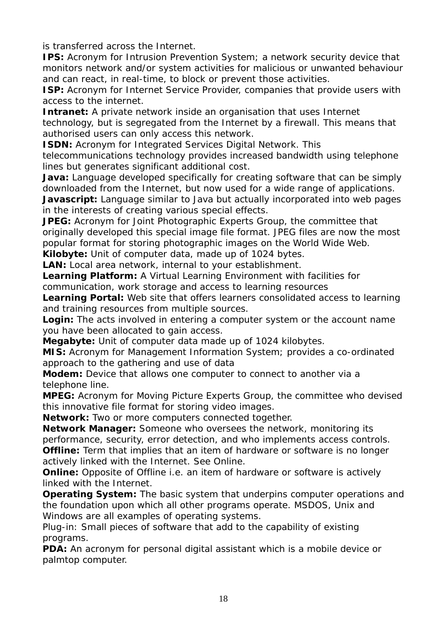is transferred across the Internet.

**IPS:** Acronym for Intrusion Prevention System; a network security device that monitors network and/or system activities for malicious or unwanted behaviour and can react, in real-time, to block or prevent those activities.

**ISP:** Acronym for Internet Service Provider, companies that provide users with access to the internet.

**Intranet:** A private network inside an organisation that uses Internet technology, but is segregated from the Internet by a firewall. This means that authorised users can only access this network.

**ISDN:** Acronym for Integrated Services Digital Network. This

telecommunications technology provides increased bandwidth using telephone lines but generates significant additional cost.

**Java:** Language developed specifically for creating software that can be simply downloaded from the Internet, but now used for a wide range of applications.

**Javascript:** Language similar to Java but actually incorporated into web pages in the interests of creating various special effects.

**JPEG:** Acronym for Joint Photographic Experts Group, the committee that originally developed this special image file format. JPEG files are now the most popular format for storing photographic images on the World Wide Web.

**Kilobyte:** Unit of computer data, made up of 1024 bytes.

**LAN:** Local area network, internal to your establishment.

**Learning Platform:** A Virtual Learning Environment with facilities for communication, work storage and access to learning resources

**Learning Portal:** Web site that offers learners consolidated access to learning and training resources from multiple sources.

**Login:** The acts involved in entering a computer system or the account name you have been allocated to gain access.

**Megabyte:** Unit of computer data made up of 1024 kilobytes.

**MIS:** Acronym for Management Information System; provides a co-ordinated approach to the gathering and use of data

**Modem:** Device that allows one computer to connect to another via a telephone line.

**MPEG:** Acronym for Moving Picture Experts Group, the committee who devised this innovative file format for storing video images.

**Network:** Two or more computers connected together.

**Network Manager:** Someone who oversees the network, monitoring its performance, security, error detection, and who implements access controls. **Offline:** Term that implies that an item of hardware or software is no longer actively linked with the Internet. See Online.

**Online:** Opposite of Offline i.e. an item of hardware or software is actively linked with the Internet.

**Operating System:** The basic system that underpins computer operations and the foundation upon which all other programs operate. MSDOS, Unix and Windows are all examples of operating systems.

Plug-in: Small pieces of software that add to the capability of existing programs.

**PDA:** An acronym for personal digital assistant which is a mobile device or palmtop computer.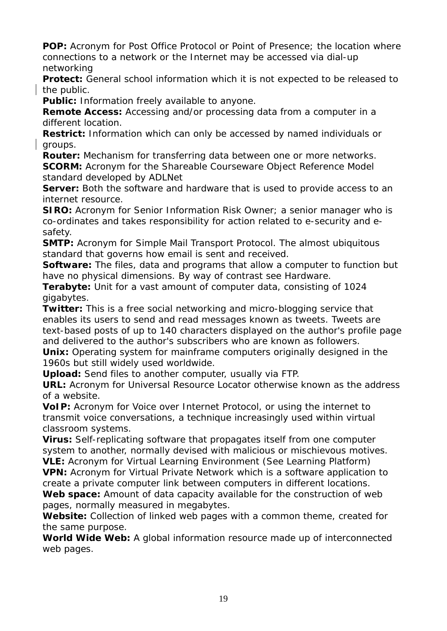**POP:** Acronym for Post Office Protocol or Point of Presence; the location where connections to a network or the Internet may be accessed via dial-up networking

**Protect:** General school information which it is not expected to be released to the public.

**Public:** Information freely available to anyone.

**Remote Access:** Accessing and/or processing data from a computer in a different location.

**Restrict:** Information which can only be accessed by named individuals or groups.

**Router:** Mechanism for transferring data between one or more networks. **SCORM:** Acronym for the Shareable Courseware Object Reference Model standard developed by ADLNet

**Server:** Both the software and hardware that is used to provide access to an internet resource.

**SIRO:** Acronym for Senior Information Risk Owner; a senior manager who is co-ordinates and takes responsibility for action related to e-security and esafety.

**SMTP:** Acronym for Simple Mail Transport Protocol. The almost ubiquitous standard that governs how email is sent and received.

**Software:** The files, data and programs that allow a computer to function but have no physical dimensions. By way of contrast see Hardware.

**Terabyte:** Unit for a vast amount of computer data, consisting of 1024 gigabytes.

**Twitter:** This is a free social networking and micro-blogging service that enables its users to send and read messages known as tweets. Tweets are text-based posts of up to 140 characters displayed on the author's profile page and delivered to the author's subscribers who are known as followers.

**Unix:** Operating system for mainframe computers originally designed in the 1960s but still widely used worldwide.

**Upload:** Send files to another computer, usually via FTP.

**URL:** Acronym for Universal Resource Locator otherwise known as the address of a website.

**VoIP:** Acronym for Voice over Internet Protocol, or using the internet to transmit voice conversations, a technique increasingly used within virtual classroom systems.

**Virus:** Self-replicating software that propagates itself from one computer system to another, normally devised with malicious or mischievous motives. **VLE:** Acronym for Virtual Learning Environment (See Learning Platform)

**VPN:** Acronym for Virtual Private Network which is a software application to create a private computer link between computers in different locations. **Web space:** Amount of data capacity available for the construction of web pages, normally measured in megabytes.

**Website:** Collection of linked web pages with a common theme, created for the same purpose.

**World Wide Web:** A global information resource made up of interconnected web pages.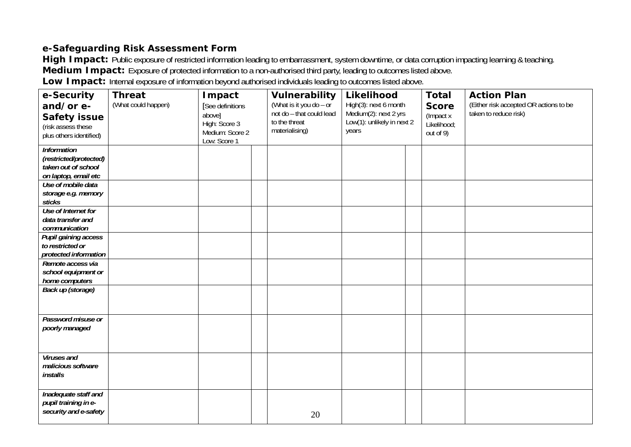## **e-Safeguarding Risk Assessment Form**

High Impact: Public exposure of restricted information leading to embarrassment, system downtime, or data corruption impacting learning & teaching. **Medium Impact:** Exposure of protected information to a non-authorised third party, leading to outcomes listed above.

Low Impact: Internal exposure of information beyond authorised individuals leading to outcomes listed above.

| e-Security<br>and/or e-<br><b>Safety issue</b><br>(risk assess these<br>plus others identified) | <b>Threat</b><br>(What could happen) | Impact<br>[See definitions<br>above]<br>High: Score 3<br>Medium: Score 2<br>Low: Score 1 |  | Vulnerability<br>(What is it you do - or<br>not do - that could lead<br>to the threat<br>materialising) | Likelihood<br>High(3): next 6 month<br>Medium(2): next 2 yrs<br>Low(1): unlikely in next 2<br>years |  | <b>Total</b><br><b>Score</b><br>(Impact x<br>Likelihood;<br>out of 9) | <b>Action Plan</b><br>(Either risk accepted OR actions to be<br>taken to reduce risk) |
|-------------------------------------------------------------------------------------------------|--------------------------------------|------------------------------------------------------------------------------------------|--|---------------------------------------------------------------------------------------------------------|-----------------------------------------------------------------------------------------------------|--|-----------------------------------------------------------------------|---------------------------------------------------------------------------------------|
| <b>Information</b><br>(restricted/protected)<br>taken out of school<br>on laptop, email etc     |                                      |                                                                                          |  |                                                                                                         |                                                                                                     |  |                                                                       |                                                                                       |
| Use of mobile data<br>storage e.g. memory<br>sticks                                             |                                      |                                                                                          |  |                                                                                                         |                                                                                                     |  |                                                                       |                                                                                       |
| Use of Internet for<br>data transfer and<br>communication                                       |                                      |                                                                                          |  |                                                                                                         |                                                                                                     |  |                                                                       |                                                                                       |
| Pupil gaining access<br>to restricted or<br>protected information                               |                                      |                                                                                          |  |                                                                                                         |                                                                                                     |  |                                                                       |                                                                                       |
| Remote access via<br>school equipment or<br>home computers                                      |                                      |                                                                                          |  |                                                                                                         |                                                                                                     |  |                                                                       |                                                                                       |
| <b>Back up (storage)</b>                                                                        |                                      |                                                                                          |  |                                                                                                         |                                                                                                     |  |                                                                       |                                                                                       |
| Password misuse or<br>poorly managed                                                            |                                      |                                                                                          |  |                                                                                                         |                                                                                                     |  |                                                                       |                                                                                       |
| Viruses and<br>malicious software<br><i>installs</i>                                            |                                      |                                                                                          |  |                                                                                                         |                                                                                                     |  |                                                                       |                                                                                       |
| Inadequate staff and<br>pupil training in e-<br>security and e-safety                           |                                      |                                                                                          |  | 20                                                                                                      |                                                                                                     |  |                                                                       |                                                                                       |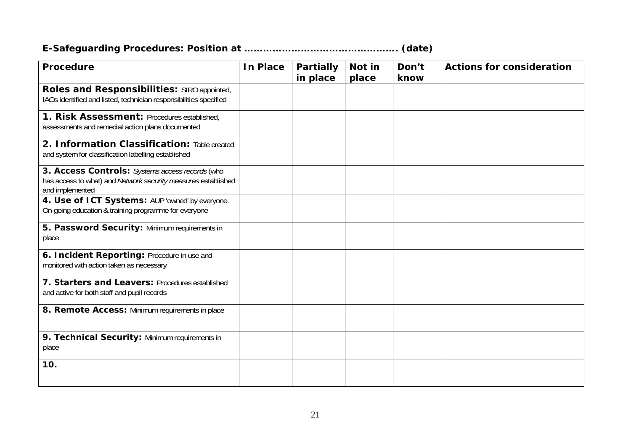# **E-Safeguarding Procedures: Position at …………………………………………. (date)**

| <b>Procedure</b>                                                                                                                    | <b>In Place</b> | <b>Partially</b> | Not in | Don't | <b>Actions for consideration</b> |
|-------------------------------------------------------------------------------------------------------------------------------------|-----------------|------------------|--------|-------|----------------------------------|
|                                                                                                                                     |                 | in place         | place  | know  |                                  |
| Roles and Responsibilities: SIRO appointed,<br>IAOs identified and listed, technician responsibilities specified                    |                 |                  |        |       |                                  |
| 1. Risk Assessment: Procedures established,<br>assessments and remedial action plans documented                                     |                 |                  |        |       |                                  |
| 2. Information Classification: Table created<br>and system for classification labelling established                                 |                 |                  |        |       |                                  |
| 3. Access Controls: Systems access records (who<br>has access to what) and Network security measures established<br>and implemented |                 |                  |        |       |                                  |
| 4. Use of ICT Systems: AUP 'owned' by everyone.<br>On-going education & training programme for everyone                             |                 |                  |        |       |                                  |
| 5. Password Security: Minimum requirements in<br>place                                                                              |                 |                  |        |       |                                  |
| 6. Incident Reporting: Procedure in use and<br>monitored with action taken as necessary                                             |                 |                  |        |       |                                  |
| 7. Starters and Leavers: Procedures established<br>and active for both staff and pupil records                                      |                 |                  |        |       |                                  |
| 8. Remote Access: Minimum requirements in place                                                                                     |                 |                  |        |       |                                  |
| 9. Technical Security: Minimum requirements in<br>place                                                                             |                 |                  |        |       |                                  |
| 10.                                                                                                                                 |                 |                  |        |       |                                  |